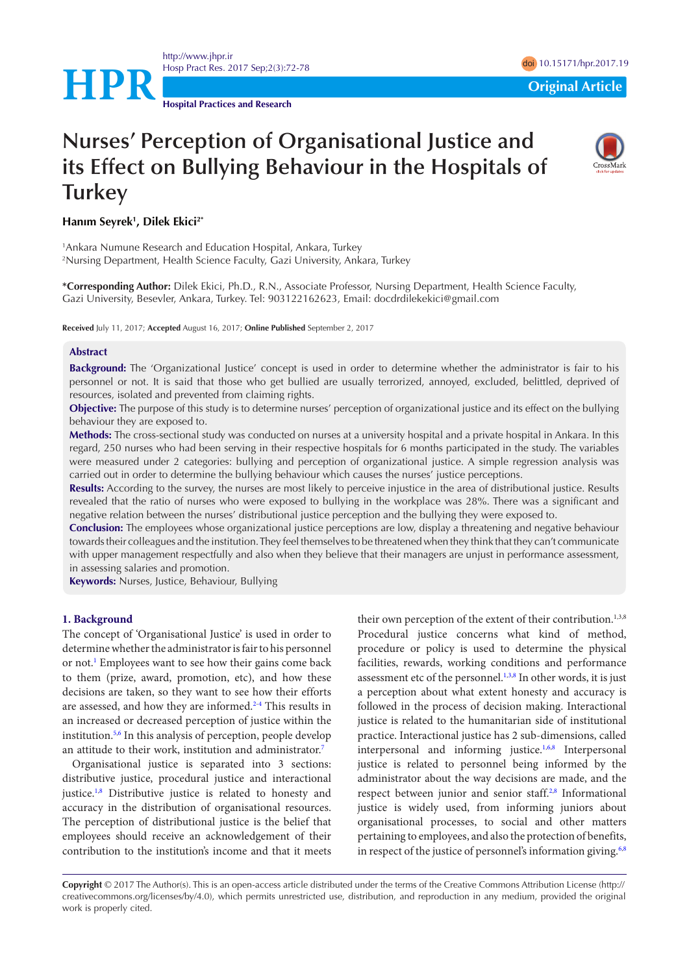<http://www.jhpr.ir> Hosp Pract Res. 2017 Sep;2(3):72-78 doi 2017 and 2018 doi [10.15171/hpr.2017.1](http://dx.doi.org/10.15171/hpr.2017.13)9

**Hospital Practices and Research**

**HPR**<br> **Original Article** 

# **Nurses' Perception of Organisational Justice and its Effect on Bullying Behaviour in the Hospitals of Turkey**



## **Hanım Seyrek1 , Dilek Ekici2\***

1 Ankara Numune Research and Education Hospital, Ankara, Turkey 2 Nursing Department, Health Science Faculty, Gazi University, Ankara, Turkey

**\*Corresponding Author:** Dilek Ekici, Ph.D., R.N., Associate Professor, Nursing Department, Health Science Faculty, Gazi University, Besevler, Ankara, Turkey. Tel: 903122162623, Email: docdrdilekekici@gmail.com

**Received** July 11, 2017; **Accepted** August 16, 2017; **Online Published** September 2, 2017

#### **Abstract**

**Background:** The 'Organizational Justice' concept is used in order to determine whether the administrator is fair to his personnel or not. It is said that those who get bullied are usually terrorized, annoyed, excluded, belittled, deprived of resources, isolated and prevented from claiming rights.

**Objective:** The purpose of this study is to determine nurses' perception of organizational justice and its effect on the bullying behaviour they are exposed to.

**Methods:** The cross-sectional study was conducted on nurses at a university hospital and a private hospital in Ankara. In this regard, 250 nurses who had been serving in their respective hospitals for 6 months participated in the study. The variables were measured under 2 categories: bullying and perception of organizational justice. A simple regression analysis was carried out in order to determine the bullying behaviour which causes the nurses' justice perceptions.

**Results:** According to the survey, the nurses are most likely to perceive injustice in the area of distributional justice. Results revealed that the ratio of nurses who were exposed to bullying in the workplace was 28%. There was a significant and negative relation between the nurses' distributional justice perception and the bullying they were exposed to.

**Conclusion:** The employees whose organizational justice perceptions are low, display a threatening and negative behaviour towards their colleagues and the institution. They feel themselves to be threatened when they think that they can't communicate with upper management respectfully and also when they believe that their managers are unjust in performance assessment, in assessing salaries and promotion.

**Keywords:** Nurses, Justice, Behaviour, Bullying

#### **1. Background**

The concept of 'Organisational Justice' is used in order to determine whether the administrator is fair to his personnel or not.<sup>[1](#page-5-0)</sup> Employees want to see how their gains come back to them (prize, award, promotion, etc), and how these decisions are taken, so they want to see how their efforts are assessed, and how they are informed.<sup>[2](#page-5-1)[-4](#page-6-0)</sup> This results in an increased or decreased perception of justice within the institution.<sup>[5,](#page-6-1)[6](#page-6-2)</sup> In this analysis of perception, people develop an attitude to their work, institution and administrator.[7](#page-6-2)

Organisational justice is separated into 3 sections: distributive justice, procedural justice and interactional justice.<sup>[1](#page-5-0),[8](#page-6-3)</sup> Distributive justice is related to honesty and accuracy in the distribution of organisational resources. The perception of distributional justice is the belief that employees should receive an acknowledgement of their contribution to the institution's income and that it meets

their own perception of the extent of their contribution.<sup>1,3,8</sup> Procedural justice concerns what kind of method, procedure or policy is used to determine the physical facilities, rewards, working conditions and performance assessment etc of the personnel.<sup>1[,3](#page-6-4)[,8](#page-6-3)</sup> In other words, it is just a perception about what extent honesty and accuracy is followed in the process of decision making. Interactional justice is related to the humanitarian side of institutional practice. Interactional justice has 2 sub-dimensions, called interpersonal and informing justice.<sup>[1,](#page-5-0)[6,](#page-6-2)[8](#page-6-3)</sup> Interpersonal justice is related to personnel being informed by the administrator about the way decisions are made, and the respect between junior and senior staff.<sup>[2](#page-5-1),[8](#page-6-3)</sup> Informational justice is widely used, from informing juniors about organisational processes, to social and other matters pertaining to employees, and also the protection of benefits, in respect of the justice of personnel's information giving. $6,8$  $6,8$ 

**Copyright** © 2017 The Author(s). This is an open-access article distributed under the terms of the Creative Commons Attribution License (http:// creativecommons.org/licenses/by/4.0), which permits unrestricted use, distribution, and reproduction in any medium, provided the original work is properly cited.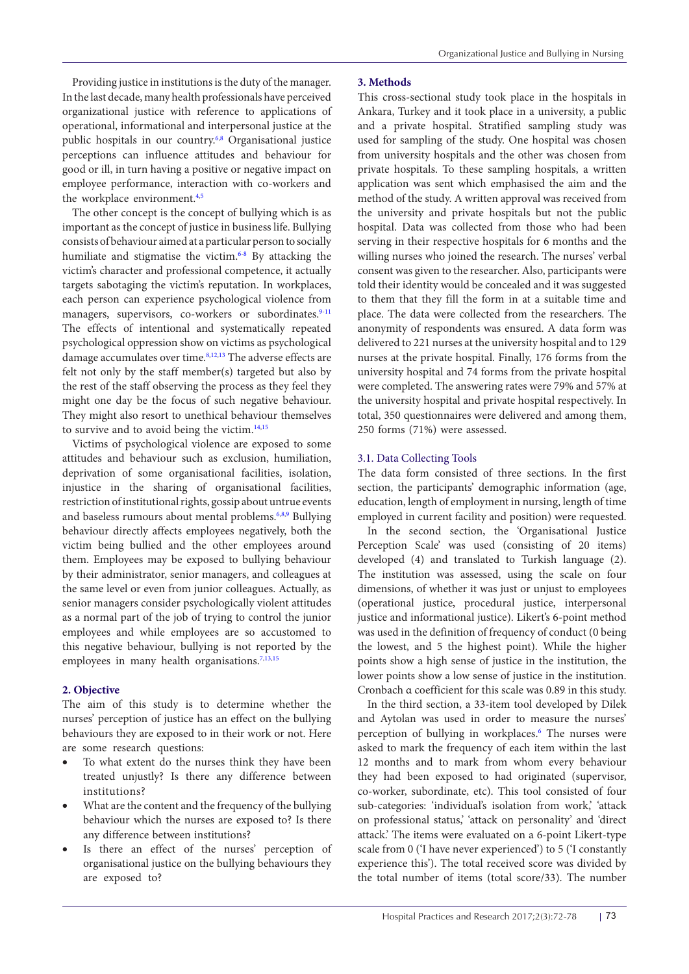Providing justice in institutions is the duty of the manager. In the last decade, many health professionals have perceived organizational justice with reference to applications of operational, informational and interpersonal justice at the public hospitals in our country[.6](#page-6-2)[,8](#page-6-3) Organisational justice perceptions can influence attitudes and behaviour for good or ill, in turn having a positive or negative impact on employee performance, interaction with co-workers and the workplace environment.<sup>4[,5](#page-6-1)</sup>

The other concept is the concept of bullying which is as important as the concept of justice in business life. Bullying consists of behaviour aimed at a particular person to socially humiliate and stigmatise the victim.<sup>[6](#page-6-2)[-8](#page-6-3)</sup> By attacking the victim's character and professional competence, it actually targets sabotaging the victim's reputation. In workplaces, each person can experience psychological violence from managers, supervisors, co-workers or subordinates.<sup>[9-](#page-6-5)[11](#page-6-6)</sup> The effects of intentional and systematically repeated psychological oppression show on victims as psychological damage accumulates over time.<sup>8[,12,](#page-6-7)13</sup> The adverse effects are felt not only by the staff member(s) targeted but also by the rest of the staff observing the process as they feel they might one day be the focus of such negative behaviour. They might also resort to unethical behaviour themselves to survive and to avoid being the victim.<sup>14[,15](#page-6-10)</sup>

Victims of psychological violence are exposed to some attitudes and behaviour such as exclusion, humiliation, deprivation of some organisational facilities, isolation, injustice in the sharing of organisational facilities, restriction of institutional rights, gossip about untrue events and baseless rumours about mental problems.<sup>[6,](#page-6-2)[8](#page-6-3)[,9](#page-6-5)</sup> Bullying behaviour directly affects employees negatively, both the victim being bullied and the other employees around them. Employees may be exposed to bullying behaviour by their administrator, senior managers, and colleagues at the same level or even from junior colleagues. Actually, as senior managers consider psychologically violent attitudes as a normal part of the job of trying to control the junior employees and while employees are so accustomed to this negative behaviour, bullying is not reported by the employees in many health organisations.<sup>7,[13](#page-6-8),[15](#page-6-10)</sup>

## **2. Objective**

The aim of this study is to determine whether the nurses' perception of justice has an effect on the bullying behaviours they are exposed to in their work or not. Here are some research questions:

- To what extent do the nurses think they have been treated unjustly? Is there any difference between institutions?
- What are the content and the frequency of the bullying behaviour which the nurses are exposed to? Is there any difference between institutions?
- Is there an effect of the nurses' perception of organisational justice on the bullying behaviours they are exposed to?

# **3. Methods**

This cross-sectional study took place in the hospitals in Ankara, Turkey and it took place in a university, a public and a private hospital. Stratified sampling study was used for sampling of the study. One hospital was chosen from university hospitals and the other was chosen from private hospitals. To these sampling hospitals, a written application was sent which emphasised the aim and the method of the study. A written approval was received from the university and private hospitals but not the public hospital. Data was collected from those who had been serving in their respective hospitals for 6 months and the willing nurses who joined the research. The nurses' verbal consent was given to the researcher. Also, participants were told their identity would be concealed and it was suggested to them that they fill the form in at a suitable time and place. The data were collected from the researchers. The anonymity of respondents was ensured. A data form was delivered to 221 nurses at the university hospital and to 129 nurses at the private hospital. Finally, 176 forms from the university hospital and 74 forms from the private hospital were completed. The answering rates were 79% and 57% at the university hospital and private hospital respectively. In total, 350 questionnaires were delivered and among them, 250 forms (71%) were assessed.

#### 3.1. Data Collecting Tools

The data form consisted of three sections. In the first section, the participants' demographic information (age, education, length of employment in nursing, length of time employed in current facility and position) were requested.

In the second section, the 'Organisational Justice Perception Scale' was used (consisting of 20 items) developed (4) and translated to Turkish language (2). The institution was assessed, using the scale on four dimensions, of whether it was just or unjust to employees (operational justice, procedural justice, interpersonal justice and informational justice). Likert's 6-point method was used in the definition of frequency of conduct (0 being the lowest, and 5 the highest point). While the higher points show a high sense of justice in the institution, the lower points show a low sense of justice in the institution. Cronbach α coefficient for this scale was 0.89 in this study.

In the third section, a 33-item tool developed by Dilek and Aytolan was used in order to measure the nurses' perception of bullying in workplaces.<sup>6</sup> The nurses were asked to mark the frequency of each item within the last 12 months and to mark from whom every behaviour they had been exposed to had originated (supervisor, co-worker, subordinate, etc). This tool consisted of four sub-categories: 'individual's isolation from work,' 'attack on professional status,' 'attack on personality' and 'direct attack.' The items were evaluated on a 6-point Likert-type scale from 0 ('I have never experienced') to 5 ('I constantly experience this'). The total received score was divided by the total number of items (total score/33). The number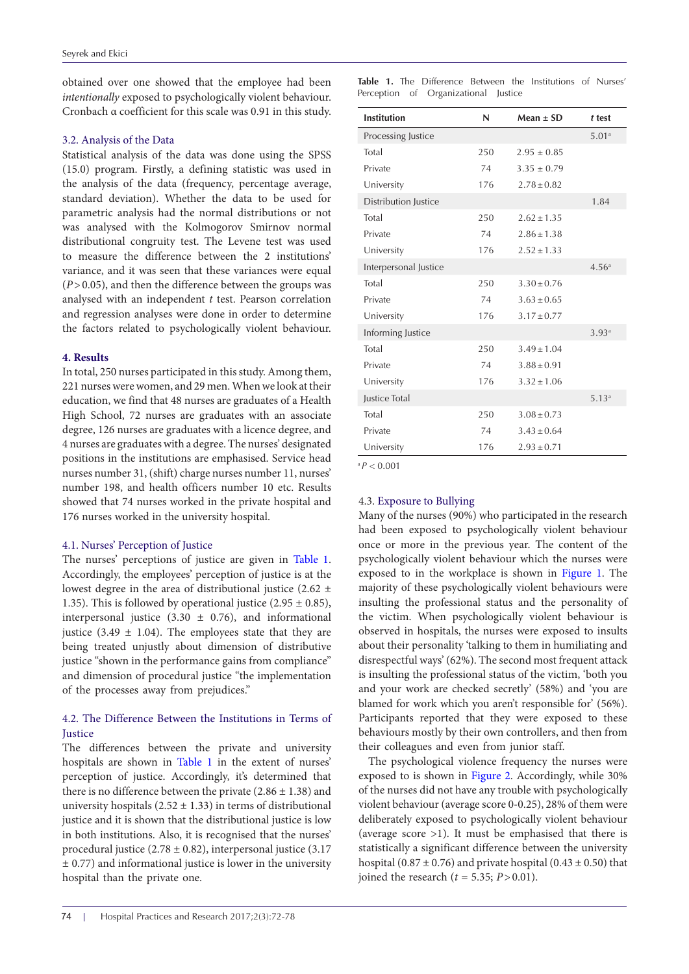obtained over one showed that the employee had been *intentionally* exposed to psychologically violent behaviour. Cronbach α coefficient for this scale was 0.91 in this study.

## 3.2. Analysis of the Data

Statistical analysis of the data was done using the SPSS (15.0) program. Firstly, a defining statistic was used in the analysis of the data (frequency, percentage average, standard deviation). Whether the data to be used for parametric analysis had the normal distributions or not was analysed with the Kolmogorov Smirnov normal distributional congruity test. The Levene test was used to measure the difference between the 2 institutions' variance, and it was seen that these variances were equal (*P*>0.05), and then the difference between the groups was analysed with an independent *t* test. Pearson correlation and regression analyses were done in order to determine the factors related to psychologically violent behaviour.

## **4. Results**

In total, 250 nurses participated in this study. Among them, 221 nurses were women, and 29 men. When we look at their education, we find that 48 nurses are graduates of a Health High School, 72 nurses are graduates with an associate degree, 126 nurses are graduates with a licence degree, and 4 nurses are graduates with a degree. The nurses' designated positions in the institutions are emphasised. Service head nurses number 31, (shift) charge nurses number 11, nurses' number 198, and health officers number 10 etc. Results showed that 74 nurses worked in the private hospital and 176 nurses worked in the university hospital.

# 4.1. Nurses' Perception of Justice

The nurses' perceptions of justice are given in Table 1. Accordingly, the employees' perception of justice is at the lowest degree in the area of distributional justice (2.62  $\pm$ 1.35). This is followed by operational justice  $(2.95 \pm 0.85)$ , interpersonal justice  $(3.30 \pm 0.76)$ , and informational justice (3.49  $\pm$  1.04). The employees state that they are being treated unjustly about dimension of distributive justice "shown in the performance gains from compliance" and dimension of procedural justice "the implementation of the processes away from prejudices."

# 4.2. The Difference Between the Institutions in Terms of **Justice**

The differences between the private and university hospitals are shown in Table 1 in the extent of nurses' perception of justice. Accordingly, it's determined that there is no difference between the private  $(2.86 \pm 1.38)$  and university hospitals  $(2.52 \pm 1.33)$  in terms of distributional justice and it is shown that the distributional justice is low in both institutions. Also, it is recognised that the nurses' procedural justice (2.78  $\pm$  0.82), interpersonal justice (3.17  $\pm$  0.77) and informational justice is lower in the university hospital than the private one.

**Table 1.** The Difference Between the Institutions of Nurses' Perception of Organizational Justice

| <b>Institution</b>    | N   | Mean $\pm$ SD   | t test            |
|-----------------------|-----|-----------------|-------------------|
| Processing Justice    |     |                 | 5.01 <sup>a</sup> |
| Total                 | 250 | $2.95 \pm 0.85$ |                   |
| Private               | 74  | $3.35 \pm 0.79$ |                   |
| University            | 176 | $2.78 \pm 0.82$ |                   |
| Distribution Justice  |     |                 | 1.84              |
| Total                 | 250 | $2.62 \pm 1.35$ |                   |
| Private               | 74  | $2.86 \pm 1.38$ |                   |
| University            | 176 | $2.52 \pm 1.33$ |                   |
| Interpersonal Justice |     |                 | 4.56 <sup>a</sup> |
| Total                 | 250 | $3.30 \pm 0.76$ |                   |
| Private               | 74  | $3.63 \pm 0.65$ |                   |
| University            | 176 | $3.17 \pm 0.77$ |                   |
| Informing Justice     |     |                 | 3.93a             |
| Total                 | 250 | $3.49 \pm 1.04$ |                   |
| Private               | 74  | $3.88 \pm 0.91$ |                   |
| University            | 176 | $3.32 \pm 1.06$ |                   |
| <b>Justice Total</b>  |     |                 | 5.13 <sup>a</sup> |
| Total                 | 250 | $3.08 \pm 0.73$ |                   |
| Private               | 74  | $3.43 \pm 0.64$ |                   |
| University            | 176 | $2.93 \pm 0.71$ |                   |

<sup>a</sup>*P* < 0.001

# 4.3. Exposure to Bullying

Many of the nurses (90%) who participated in the research had been exposed to psychologically violent behaviour once or more in the previous year. The content of the psychologically violent behaviour which the nurses were exposed to in the workplace is shown in [Figure 1](#page-3-0). The majority of these psychologically violent behaviours were insulting the professional status and the personality of the victim. When psychologically violent behaviour is observed in hospitals, the nurses were exposed to insults about their personality 'talking to them in humiliating and disrespectful ways' (62%). The second most frequent attack is insulting the professional status of the victim, 'both you and your work are checked secretly' (58%) and 'you are blamed for work which you aren't responsible for' (56%). Participants reported that they were exposed to these behaviours mostly by their own controllers, and then from their colleagues and even from junior staff.

The psychological violence frequency the nurses were exposed to is shown in [Figure 2](#page-3-1). Accordingly, while 30% of the nurses did not have any trouble with psychologically violent behaviour (average score 0-0.25), 28% of them were deliberately exposed to psychologically violent behaviour (average score >1). It must be emphasised that there is statistically a significant difference between the university hospital (0.87  $\pm$  0.76) and private hospital (0.43  $\pm$  0.50) that joined the research ( $t = 5.35$ ;  $P > 0.01$ ).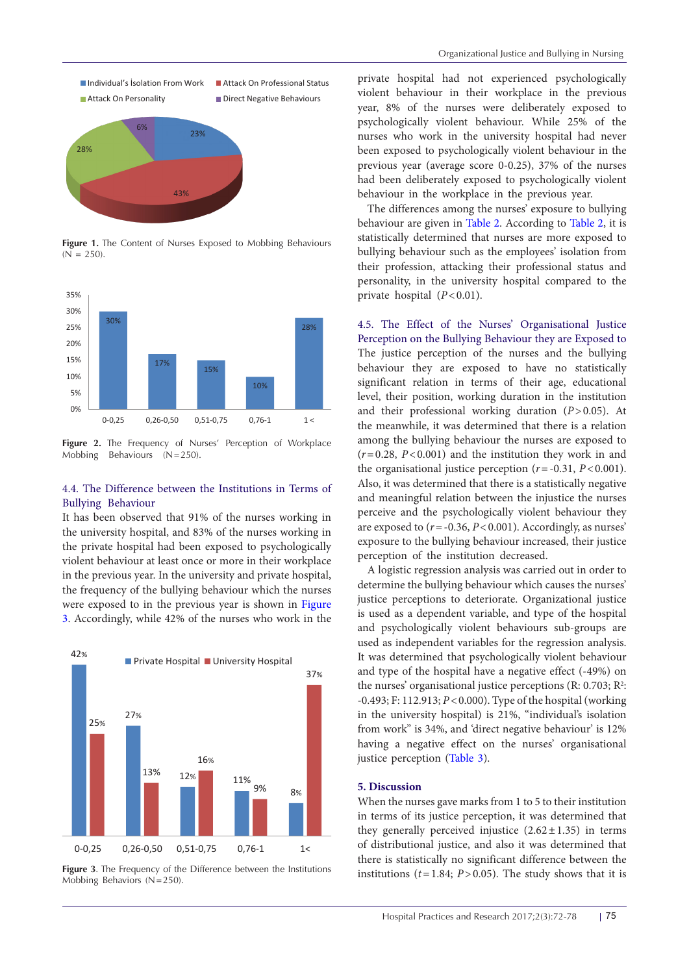<span id="page-3-0"></span>

<span id="page-3-1"></span>**Figure 1.** The Content of Nurses Exposed to Mobbing Behaviours  $(N = 250)$ 



**Figure 2.** The Frequency of Nurses' Perception of Workplace Mobbing Behaviours (N=250).

## 4.4. The Difference between the Institutions in Terms of Bullying Behaviour

It has been observed that 91% of the nurses working in the university hospital, and 83% of the nurses working in the private hospital had been exposed to psychologically violent behaviour at least once or more in their workplace in the previous year. In the university and private hospital, the frequency of the bullying behaviour which the nurses were exposed to in the previous year is shown in [Figure](#page-3-2) [3.](#page-3-2) Accordingly, while 42% of the nurses who work in the

<span id="page-3-2"></span>

**Figure 3**. The Frequency of the Difference between the Institutions Mobbing Behaviors (N=250).

private hospital had not experienced psychologically violent behaviour in their workplace in the previous year, 8% of the nurses were deliberately exposed to psychologically violent behaviour. While 25% of the nurses who work in the university hospital had never been exposed to psychologically violent behaviour in the previous year (average score 0-0.25), 37% of the nurses had been deliberately exposed to psychologically violent behaviour in the workplace in the previous year.

The differences among the nurses' exposure to bullying behaviour are given in [Table 2.](#page-4-0) According to [Table 2](#page-4-0), it is statistically determined that nurses are more exposed to bullying behaviour such as the employees' isolation from their profession, attacking their professional status and personality, in the university hospital compared to the private hospital (*P*<0.01).

4.5. The Effect of the Nurses' Organisational Justice Perception on the Bullying Behaviour they are Exposed to The justice perception of the nurses and the bullying behaviour they are exposed to have no statistically significant relation in terms of their age, educational level, their position, working duration in the institution and their professional working duration (*P*>0.05). At the meanwhile, it was determined that there is a relation among the bullying behaviour the nurses are exposed to  $(r=0.28, P<0.001)$  and the institution they work in and the organisational justice perception  $(r = -0.31, P < 0.001)$ . Also, it was determined that there is a statistically negative and meaningful relation between the injustice the nurses perceive and the psychologically violent behaviour they are exposed to (*r*=-0.36, *P*<0.001). Accordingly, as nurses' exposure to the bullying behaviour increased, their justice perception of the institution decreased.

A logistic regression analysis was carried out in order to determine the bullying behaviour which causes the nurses' justice perceptions to deteriorate. Organizational justice is used as a dependent variable, and type of the hospital and psychologically violent behaviours sub-groups are used as independent variables for the regression analysis. It was determined that psychologically violent behaviour and type of the hospital have a negative effect (-49%) on the nurses' organisational justice perceptions (R: 0.703; R<sup>2</sup>: -0.493; F: 112.913; *P*<0.000). Type of the hospital (working in the university hospital) is 21%, "individual's isolation from work" is 34%, and 'direct negative behaviour' is 12% having a negative effect on the nurses' organisational justice perception [\(Table 3\)](#page-4-1).

#### **5. Discussion**

When the nurses gave marks from 1 to 5 to their institution in terms of its justice perception, it was determined that they generally perceived injustice  $(2.62 \pm 1.35)$  in terms of distributional justice, and also it was determined that there is statistically no significant difference between the institutions  $(t=1.84; P>0.05)$ . The study shows that it is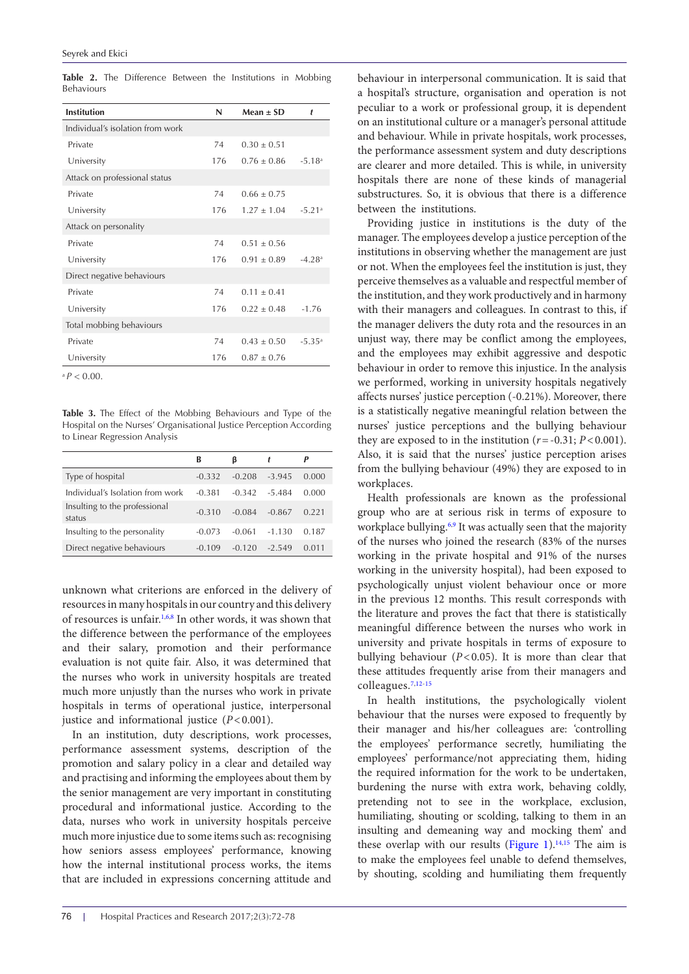| <b>Institution</b>               | N   | Mean $\pm$ SD | t                    |
|----------------------------------|-----|---------------|----------------------|
| Individual's isolation from work |     |               |                      |
| Private                          | 74  | $0.30 + 0.51$ |                      |
| University                       | 176 | $0.76 + 0.86$ | $-5.18$ <sup>a</sup> |
| Attack on professional status    |     |               |                      |
| Private                          | 74  | $0.66 + 0.75$ |                      |
| University                       | 176 | $1.27 + 1.04$ | $-5.21a$             |
| Attack on personality            |     |               |                      |
| Private                          | 74  | $0.51 + 0.56$ |                      |
| University                       | 176 | $0.91 + 0.89$ | $-4.28a$             |
| Direct negative behaviours       |     |               |                      |
| Private                          | 74  | $0.11 + 0.41$ |                      |
| University                       | 176 | $0.22 + 0.48$ | $-1.76$              |
| Total mobbing behaviours         |     |               |                      |
| Private                          | 74  | $0.43 + 0.50$ | $-5.35$ <sup>a</sup> |
| University                       | 176 | $0.87 + 0.76$ |                      |
|                                  |     |               |                      |

<span id="page-4-0"></span>**Table 2.** The Difference Between the Institutions in Mobbing Behaviours

 $^{a}P < 0.00$ 

<span id="page-4-1"></span>**Table 3.** The Effect of the Mobbing Behaviours and Type of the Hospital on the Nurses' Organisational Justice Perception According to Linear Regression Analysis

|                                         | В        | ß        |          | P     |
|-----------------------------------------|----------|----------|----------|-------|
| Type of hospital                        | $-0.332$ | $-0.208$ | $-3.945$ | 0.000 |
| Individual's Isolation from work        | $-0.381$ | $-0.342$ | $-5.484$ | 0.000 |
| Insulting to the professional<br>status | $-0.310$ | $-0.084$ | $-0.867$ | 0.221 |
| Insulting to the personality            | $-0.073$ | $-0.061$ | $-1.130$ | 0.187 |
| Direct negative behaviours              | $-0.109$ | $-0.120$ | $-2549$  | 0.011 |

unknown what criterions are enforced in the delivery of resources in many hospitals in our country and this delivery of resources is unfair.<sup>1[,6](#page-6-2)[,8](#page-6-3)</sup> In other words, it was shown that the difference between the performance of the employees and their salary, promotion and their performance evaluation is not quite fair. Also, it was determined that the nurses who work in university hospitals are treated much more unjustly than the nurses who work in private hospitals in terms of operational justice, interpersonal justice and informational justice (*P*<0.001).

In an institution, duty descriptions, work processes, performance assessment systems, description of the promotion and salary policy in a clear and detailed way and practising and informing the employees about them by the senior management are very important in constituting procedural and informational justice. According to the data, nurses who work in university hospitals perceive much more injustice due to some items such as: recognising how seniors assess employees' performance, knowing how the internal institutional process works, the items that are included in expressions concerning attitude and

behaviour in interpersonal communication. It is said that a hospital's structure, organisation and operation is not peculiar to a work or professional group, it is dependent on an institutional culture or a manager's personal attitude and behaviour. While in private hospitals, work processes, the performance assessment system and duty descriptions are clearer and more detailed. This is while, in university hospitals there are none of these kinds of managerial substructures. So, it is obvious that there is a difference between the institutions.

Providing justice in institutions is the duty of the manager. The employees develop a justice perception of the institutions in observing whether the management are just or not. When the employees feel the institution is just, they perceive themselves as a valuable and respectful member of the institution, and they work productively and in harmony with their managers and colleagues. In contrast to this, if the manager delivers the duty rota and the resources in an unjust way, there may be conflict among the employees, and the employees may exhibit aggressive and despotic behaviour in order to remove this injustice. In the analysis we performed, working in university hospitals negatively affects nurses' justice perception (-0.21%). Moreover, there is a statistically negative meaningful relation between the nurses' justice perceptions and the bullying behaviour they are exposed to in the institution  $(r = -0.31; P < 0.001)$ . Also, it is said that the nurses' justice perception arises from the bullying behaviour (49%) they are exposed to in workplaces.

Health professionals are known as the professional group who are at serious risk in terms of exposure to workplace bullying.<sup>6[,9](#page-6-5)</sup> It was actually seen that the majority of the nurses who joined the research (83% of the nurses working in the private hospital and 91% of the nurses working in the university hospital), had been exposed to psychologically unjust violent behaviour once or more in the previous 12 months. This result corresponds with the literature and proves the fact that there is statistically meaningful difference between the nurses who work in university and private hospitals in terms of exposure to bullying behaviour (*P*<0.05). It is more than clear that these attitudes frequently arise from their managers and colleagues.[7](#page-6-11)[,12](#page-6-7)[-15](#page-6-10)

In health institutions, the psychologically violent behaviour that the nurses were exposed to frequently by their manager and his/her colleagues are: 'controlling the employees' performance secretly, humiliating the employees' performance/not appreciating them, hiding the required information for the work to be undertaken, burdening the nurse with extra work, behaving coldly, pretending not to see in the workplace, exclusion, humiliating, shouting or scolding, talking to them in an insulting and demeaning way and mocking them' and these overlap with our results ([Figure 1](#page-3-0)).<sup>14,15</sup> The aim is to make the employees feel unable to defend themselves, by shouting, scolding and humiliating them frequently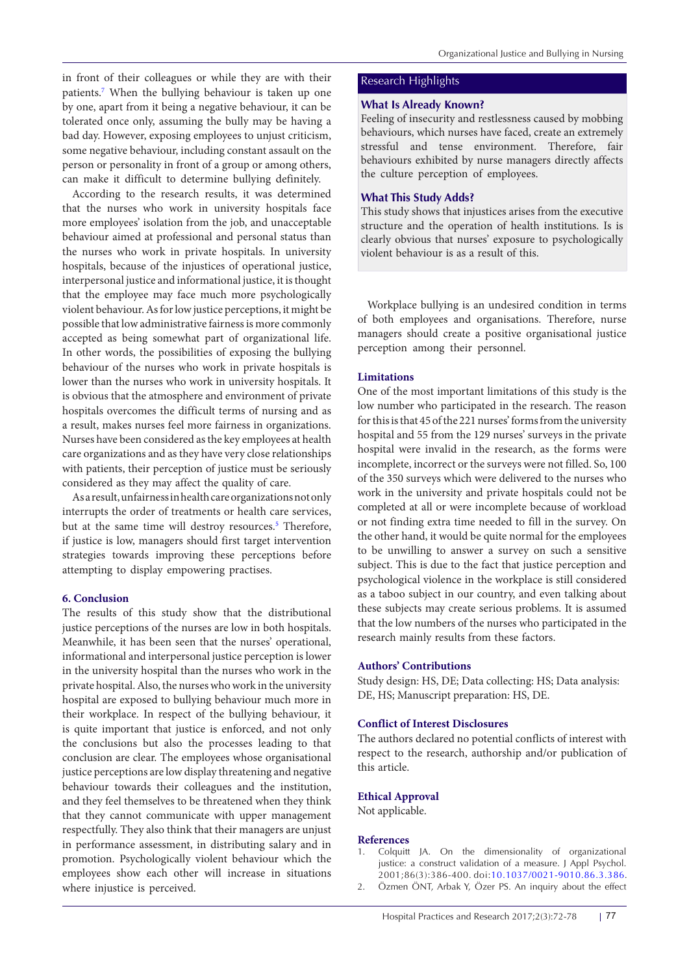in front of their colleagues or while they are with their patients.<sup>[7](#page-6-11)</sup> When the bullying behaviour is taken up one by one, apart from it being a negative behaviour, it can be tolerated once only, assuming the bully may be having a bad day. However, exposing employees to unjust criticism, some negative behaviour, including constant assault on the person or personality in front of a group or among others, can make it difficult to determine bullying definitely.

According to the research results, it was determined that the nurses who work in university hospitals face more employees' isolation from the job, and unacceptable behaviour aimed at professional and personal status than the nurses who work in private hospitals. In university hospitals, because of the injustices of operational justice, interpersonal justice and informational justice, it is thought that the employee may face much more psychologically violent behaviour. As for low justice perceptions, it might be possible that low administrative fairness is more commonly accepted as being somewhat part of organizational life. In other words, the possibilities of exposing the bullying behaviour of the nurses who work in private hospitals is lower than the nurses who work in university hospitals. It is obvious that the atmosphere and environment of private hospitals overcomes the difficult terms of nursing and as a result, makes nurses feel more fairness in organizations. Nurses have been considered as the key employees at health care organizations and as they have very close relationships with patients, their perception of justice must be seriously considered as they may affect the quality of care.

As a result, unfairness in health care organizations not only interrupts the order of treatments or health care services, but at the same time will destroy resources.<sup>[5](#page-6-1)</sup> Therefore, if justice is low, managers should first target intervention strategies towards improving these perceptions before attempting to display empowering practises.

#### **6. Conclusion**

The results of this study show that the distributional justice perceptions of the nurses are low in both hospitals. Meanwhile, it has been seen that the nurses' operational, informational and interpersonal justice perception is lower in the university hospital than the nurses who work in the private hospital. Also, the nurses who work in the university hospital are exposed to bullying behaviour much more in their workplace. In respect of the bullying behaviour, it is quite important that justice is enforced, and not only the conclusions but also the processes leading to that conclusion are clear. The employees whose organisational justice perceptions are low display threatening and negative behaviour towards their colleagues and the institution, and they feel themselves to be threatened when they think that they cannot communicate with upper management respectfully. They also think that their managers are unjust in performance assessment, in distributing salary and in promotion. Psychologically violent behaviour which the employees show each other will increase in situations where injustice is perceived.

# Research Highlights

# **What Is Already Known?**

Feeling of insecurity and restlessness caused by mobbing behaviours, which nurses have faced, create an extremely stressful and tense environment. Therefore, fair behaviours exhibited by nurse managers directly affects the culture perception of employees.

#### **What This Study Adds?**

This study shows that injustices arises from the executive structure and the operation of health institutions. Is is clearly obvious that nurses' exposure to psychologically violent behaviour is as a result of this.

Workplace bullying is an undesired condition in terms of both employees and organisations. Therefore, nurse managers should create a positive organisational justice perception among their personnel.

#### **Limitations**

One of the most important limitations of this study is the low number who participated in the research. The reason for this is that 45 of the 221 nurses' forms from the university hospital and 55 from the 129 nurses' surveys in the private hospital were invalid in the research, as the forms were incomplete, incorrect or the surveys were not filled. So, 100 of the 350 surveys which were delivered to the nurses who work in the university and private hospitals could not be completed at all or were incomplete because of workload or not finding extra time needed to fill in the survey. On the other hand, it would be quite normal for the employees to be unwilling to answer a survey on such a sensitive subject. This is due to the fact that justice perception and psychological violence in the workplace is still considered as a taboo subject in our country, and even talking about these subjects may create serious problems. It is assumed that the low numbers of the nurses who participated in the research mainly results from these factors.

## **Authors' Contributions**

Study design: HS, DE; Data collecting: HS; Data analysis: DE, HS; Manuscript preparation: HS, DE.

#### **Conflict of Interest Disclosures**

The authors declared no potential conflicts of interest with respect to the research, authorship and/or publication of this article.

#### **Ethical Approval**

Not applicable.

#### **References**

- <span id="page-5-0"></span>1. Colquitt JA. On the dimensionality of organizational justice: a construct validation of a measure. J Appl Psychol. 2001;86(3):386-400. doi:[10.1037/0021-9010.86.3.386.](http://dx.doi.org/10.1037/0021-9010.86.3.386)
- <span id="page-5-1"></span>2. Özmen ÖNT, Arbak Y, Özer PS. An inquiry about the effect